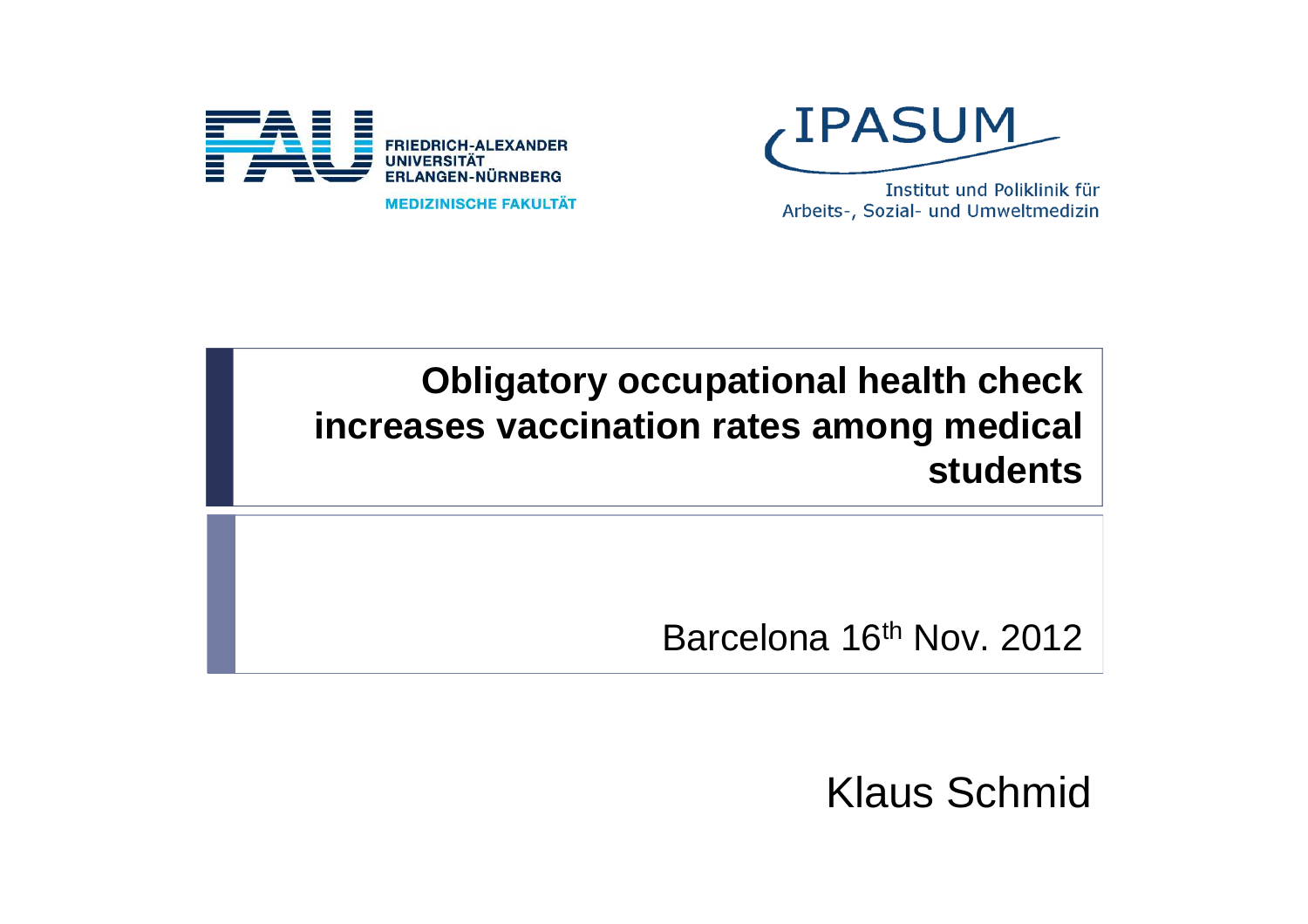

**MEDIZINISCHE FAKULTÄT** 

**LIPASUM** 

Institut und Poliklinik für Arbeits-, Sozial- und Umweltmedizin

#### **Obligatory occupational health check increases vaccination rates among medical students**

Barcelona 16<sup>th</sup> Nov. 2012

Klaus Schmid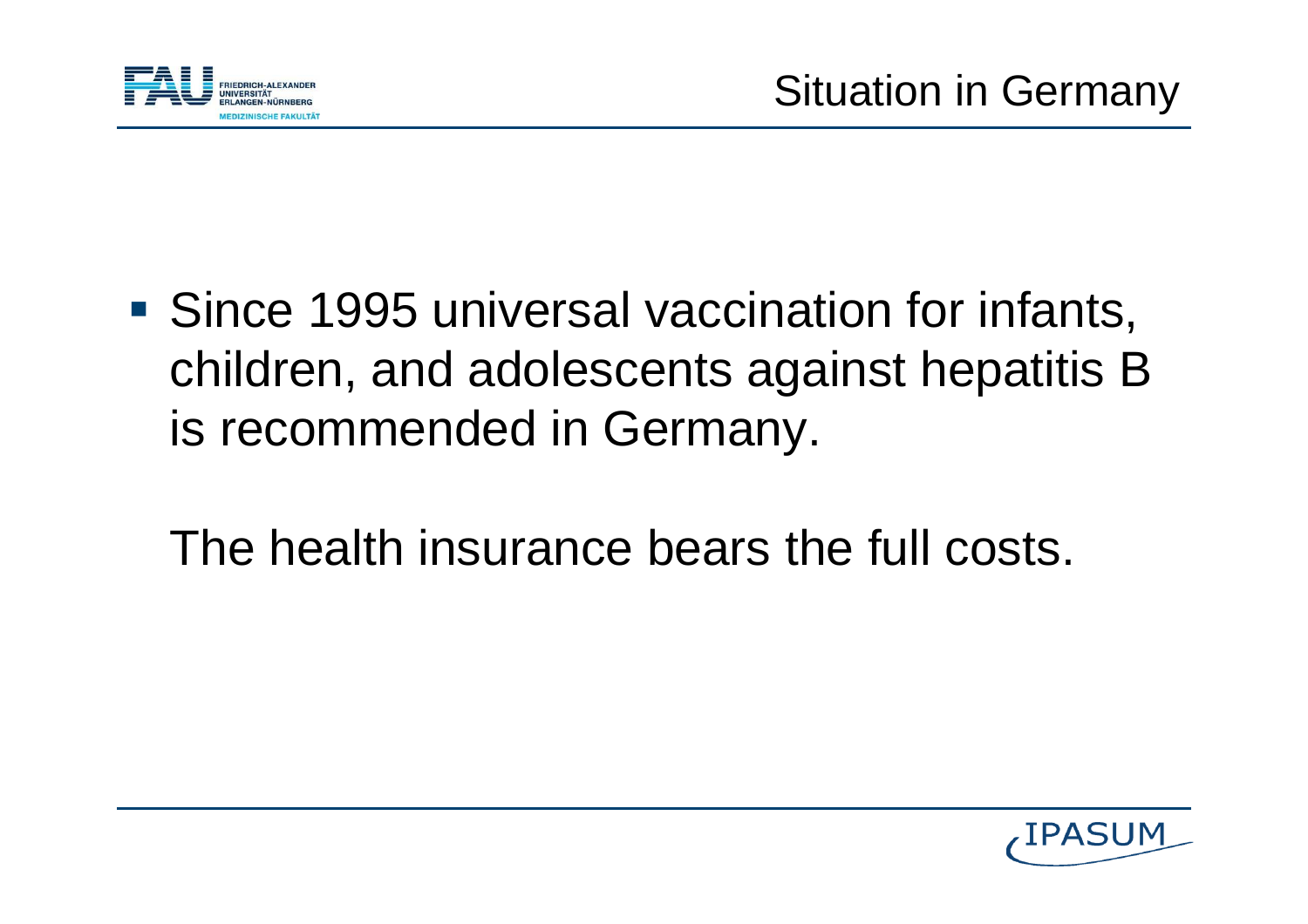

- **Since 1995 universal vaccination for infants,** children, and adolescents against hepatitis B is recommended in Germany.
	- The health insurance bears the full costs.

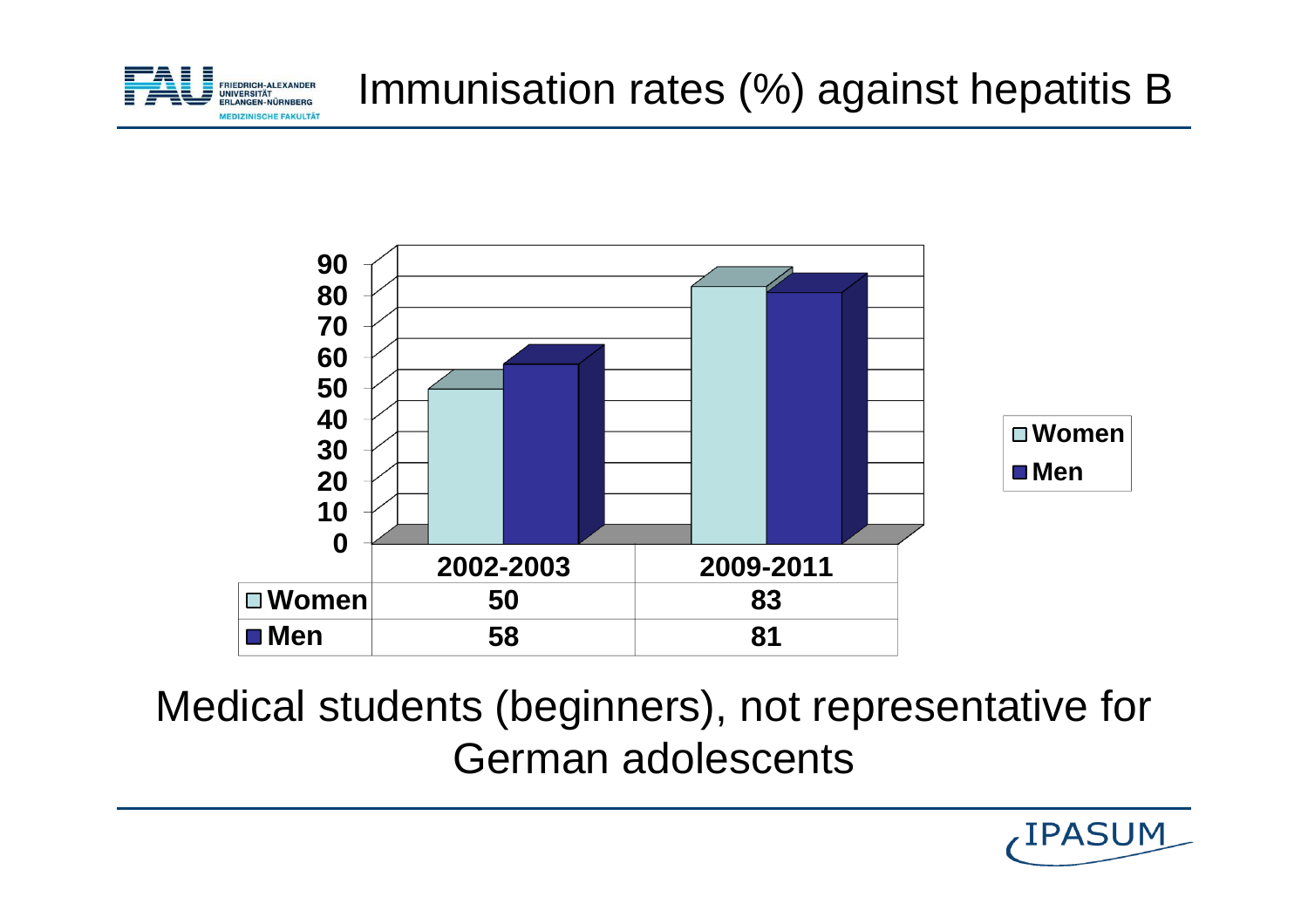



Medical students (beginners), not representative forGerman adolescents

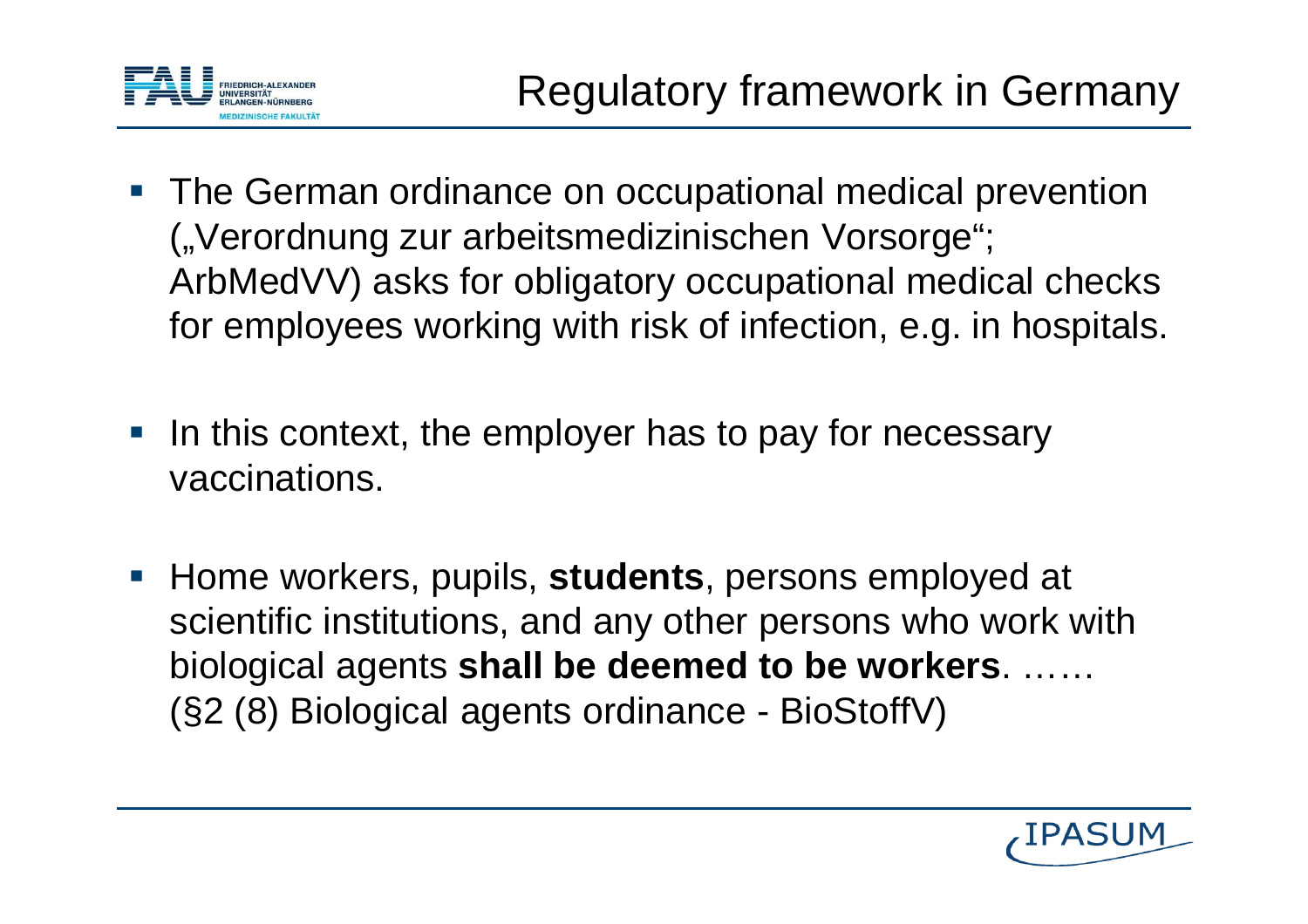

- **The German ordinance on occupational medical prevention** ("Verordnung zur arbeitsmedizinischen Vorsorge"; ArbMedVV) asks for obligatory occupational medical checks for employees working with risk of infection, e.g. in hospitals.
- $\mathcal{L}(\mathcal{L})$  In this context, the employer has to pay for necessary vaccinations.
- Home workers, pupils, **students**, persons employed at scientific institutions, and any other persons who work withbiological agents **shall be deemed to be workers**. ……(§2 (8) Biological agents ordinance - BioStoffV)

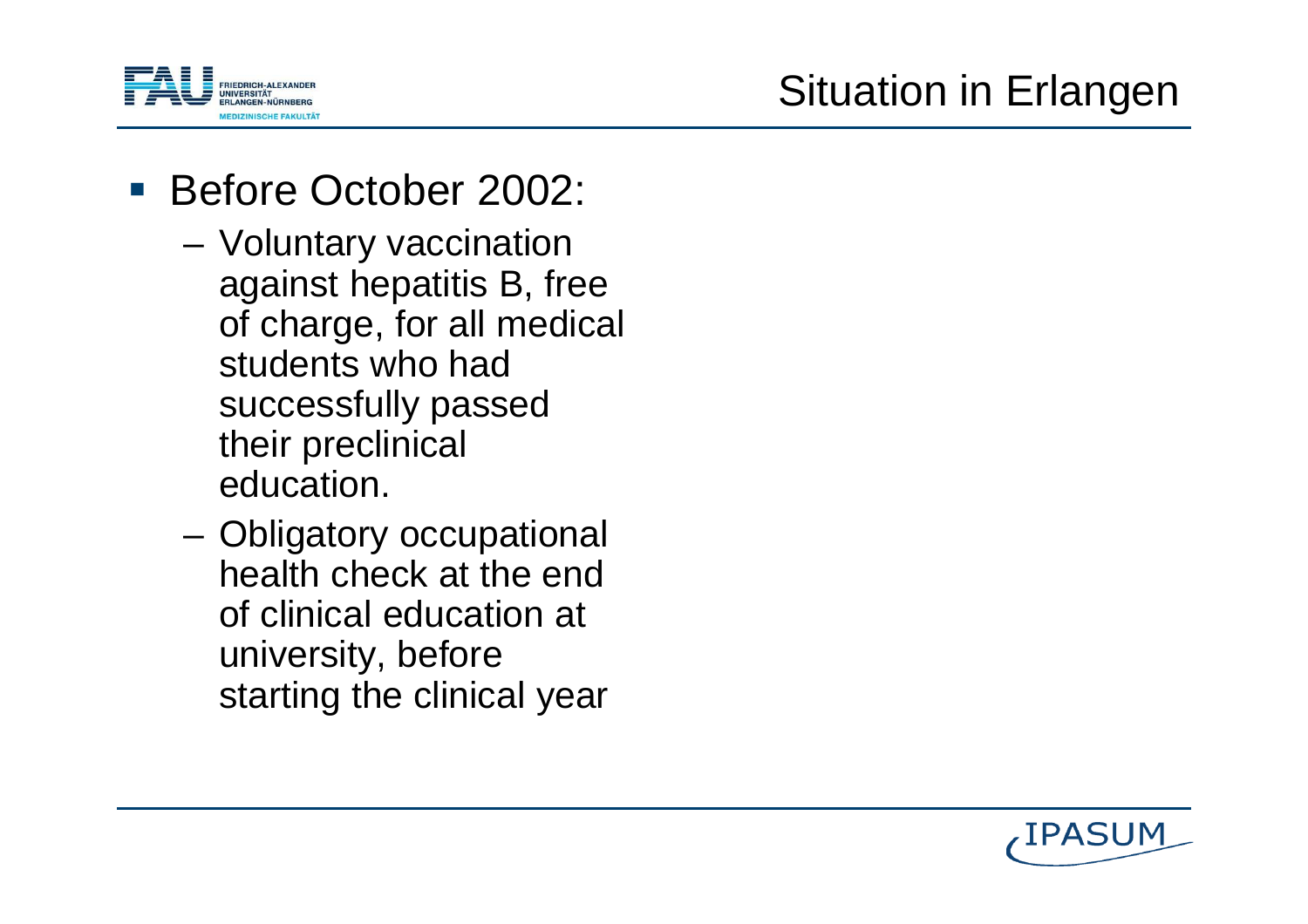

# Before October 2002:

- **Links of the Company**  Voluntary vaccination against hepatitis B, free of charge, for all medical students who had successfully passedtheir preclinical education.
- and the state of the Obligatory occupational health check at the end of clinical education at university, beforestarting the clinical year

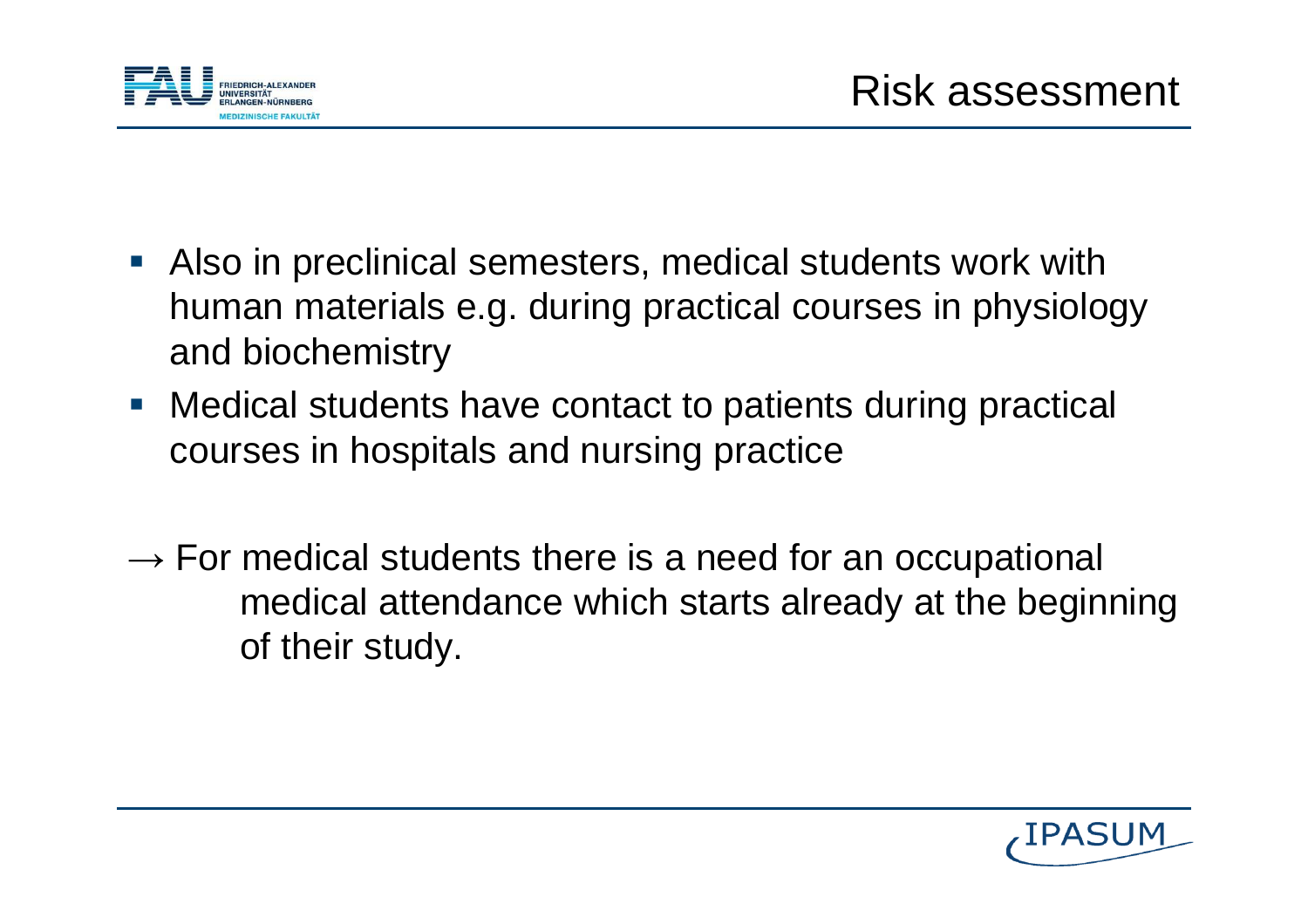

- **Also in preclinical semesters, medical students work with** human materials e.g. during practical courses in physiology and biochemistry
- **Medical students have contact to patients during practical** courses in hospitals and nursing practice
- $\rightarrow$  For medical students there is a need for an occupational medical attendance which starts already at the beginningof their study.

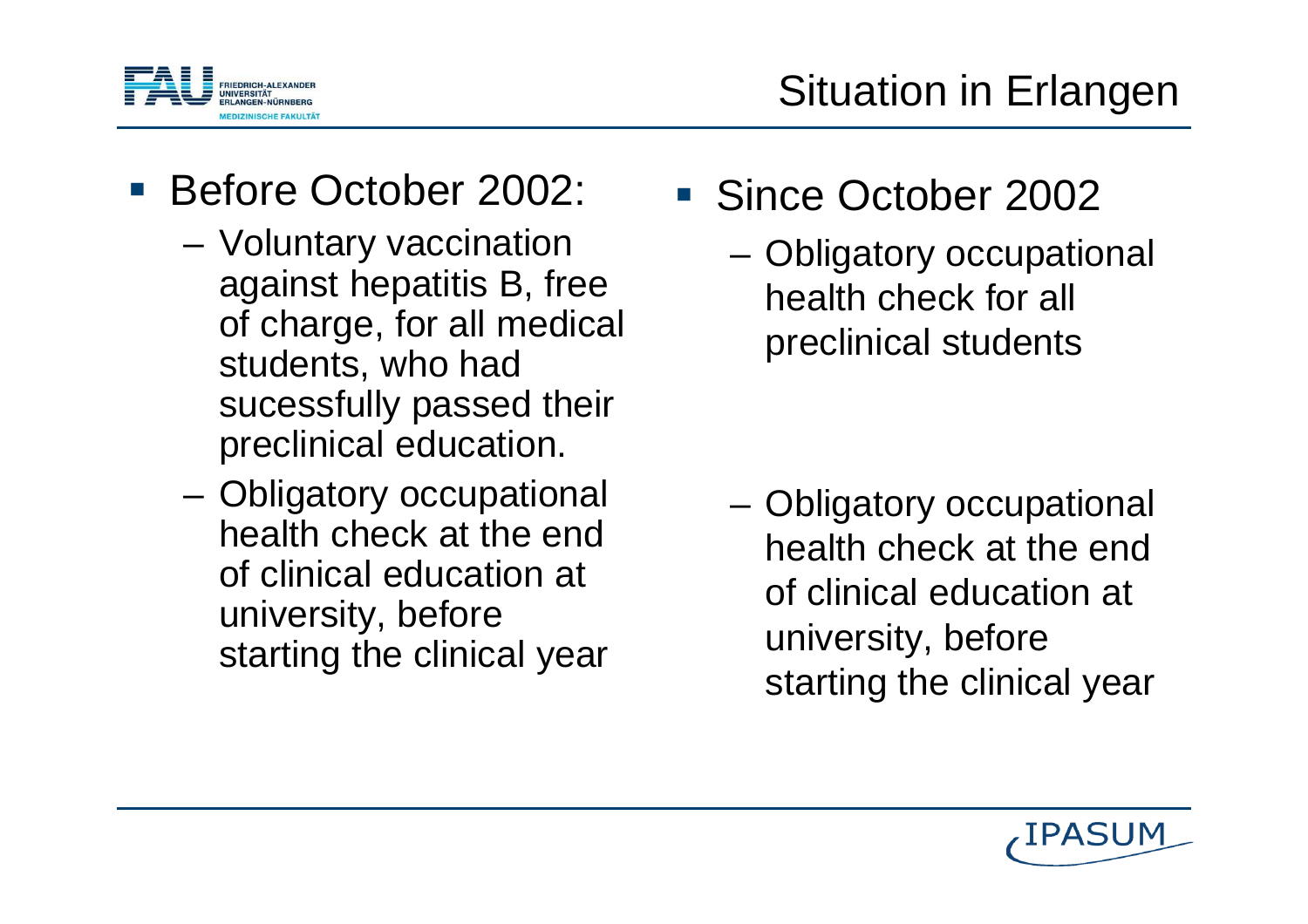

# Before October 2002:

- **Links of the Company**  Voluntary vaccination against hepatitis B, free of charge, for all medical students, who had sucessfully passed theirpreclinical education.
- **Links of the Company**  Obligatory occupational health check at the end of clinical education at university, beforestarting the clinical year
- Since October 2002
	- – Obligatory occupational health check for all preclinical students

 Obligatory occupational health check at the end of clinical education at university, beforestarting the clinical year

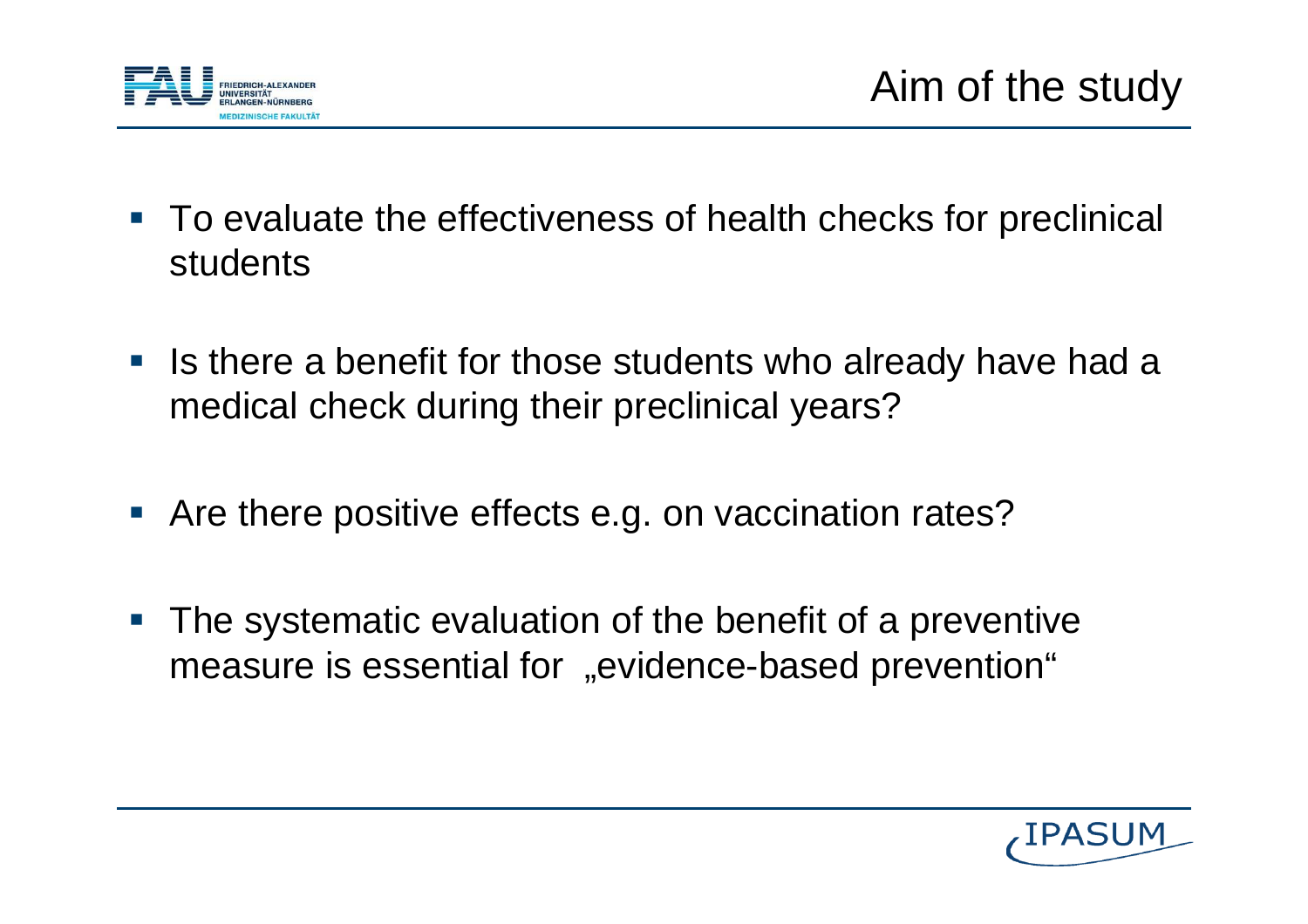

- To evaluate the effectiveness of health checks for preclinical students
- **IF** Is there a benefit for those students who already have had a medical check during their preclinical years?
- **Are there positive effects e.g. on vaccination rates?**
- $\overline{\mathcal{A}}$  The systematic evaluation of the benefit of a preventivemeasure is essential for "evidence-based prevention"

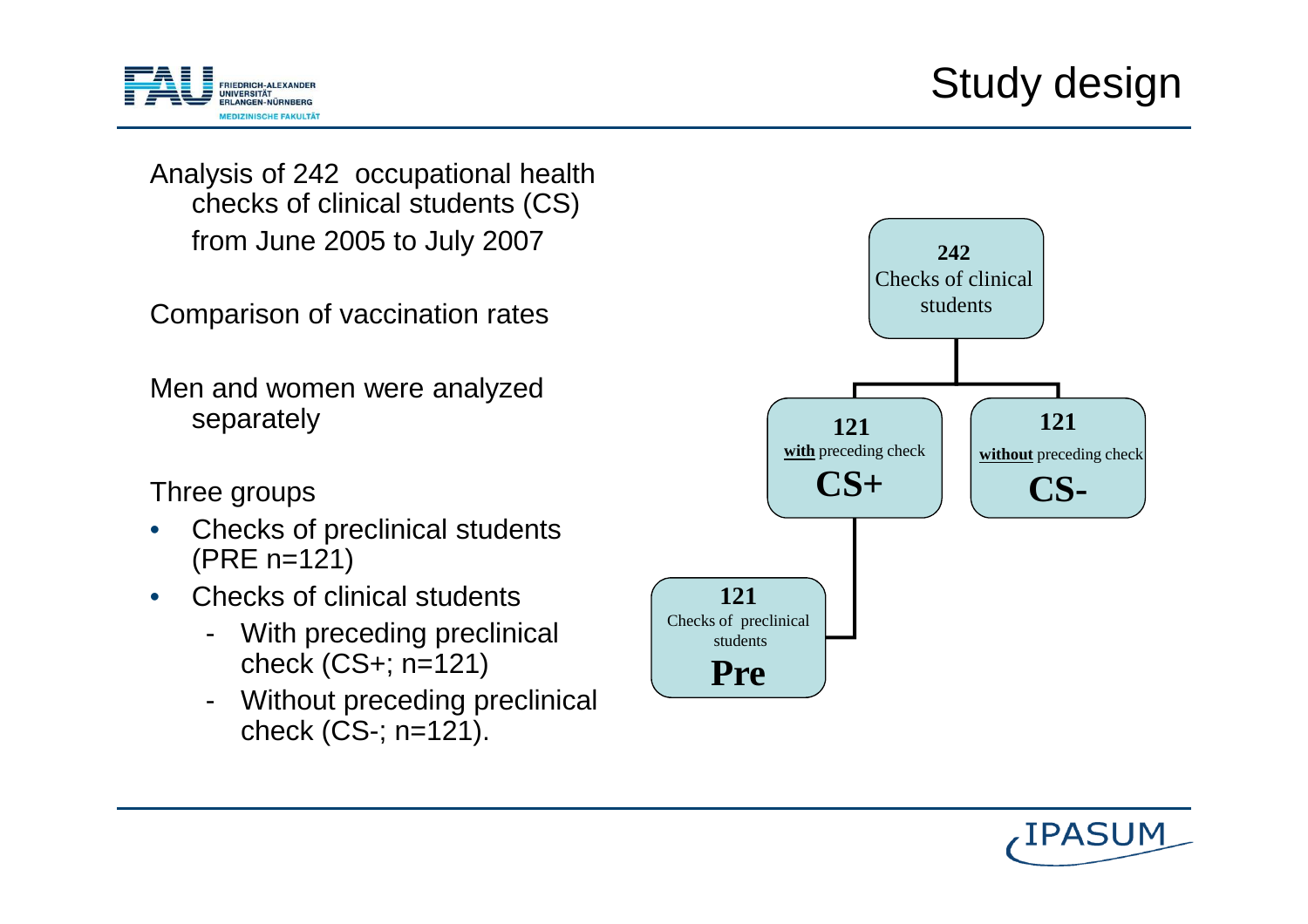

Analysis of 242 occupational health checks of clinical students (CS)from June 2005 to July 2007

Comparison of vaccination rates

Men and women were analyzedseparately

Three groups

- Checks of preclinical students •(PRE n=121)
- $\bullet$  Checks of clinical students
	- With preceding preclinical check (CS+; n=121)
	- Without preceding preclinical check (CS-; n=121).



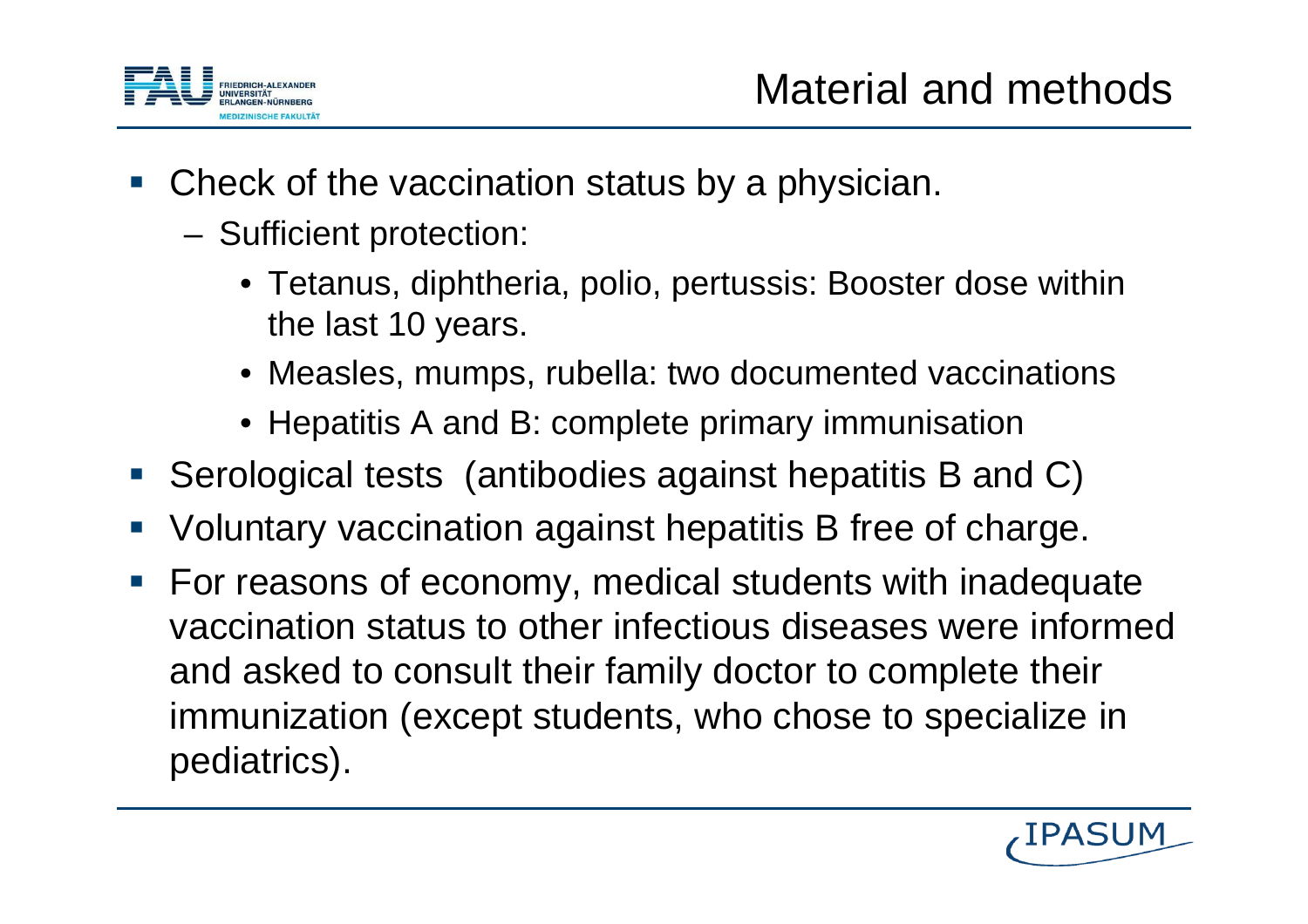

- Check of the vaccination status by a physician.
	- Sufficient protection:
		- Tetanus, diphtheria, polio, pertussis: Booster dose withinthe last 10 years.
		- Measles, mumps, rubella: two documented vaccinations
		- Hepatitis A and B: complete primary immunisation
- Serological tests (antibodies against hepatitis B and C)
- Voluntary vaccination against hepatitis B free of charge.
- $\mathcal{L}_{\mathcal{A}}$  For reasons of economy, medical students with inadequate vaccination status to other infectious diseases were informedand asked to consult their family doctor to complete theirimmunization (except students, who chose to specialize in pediatrics).

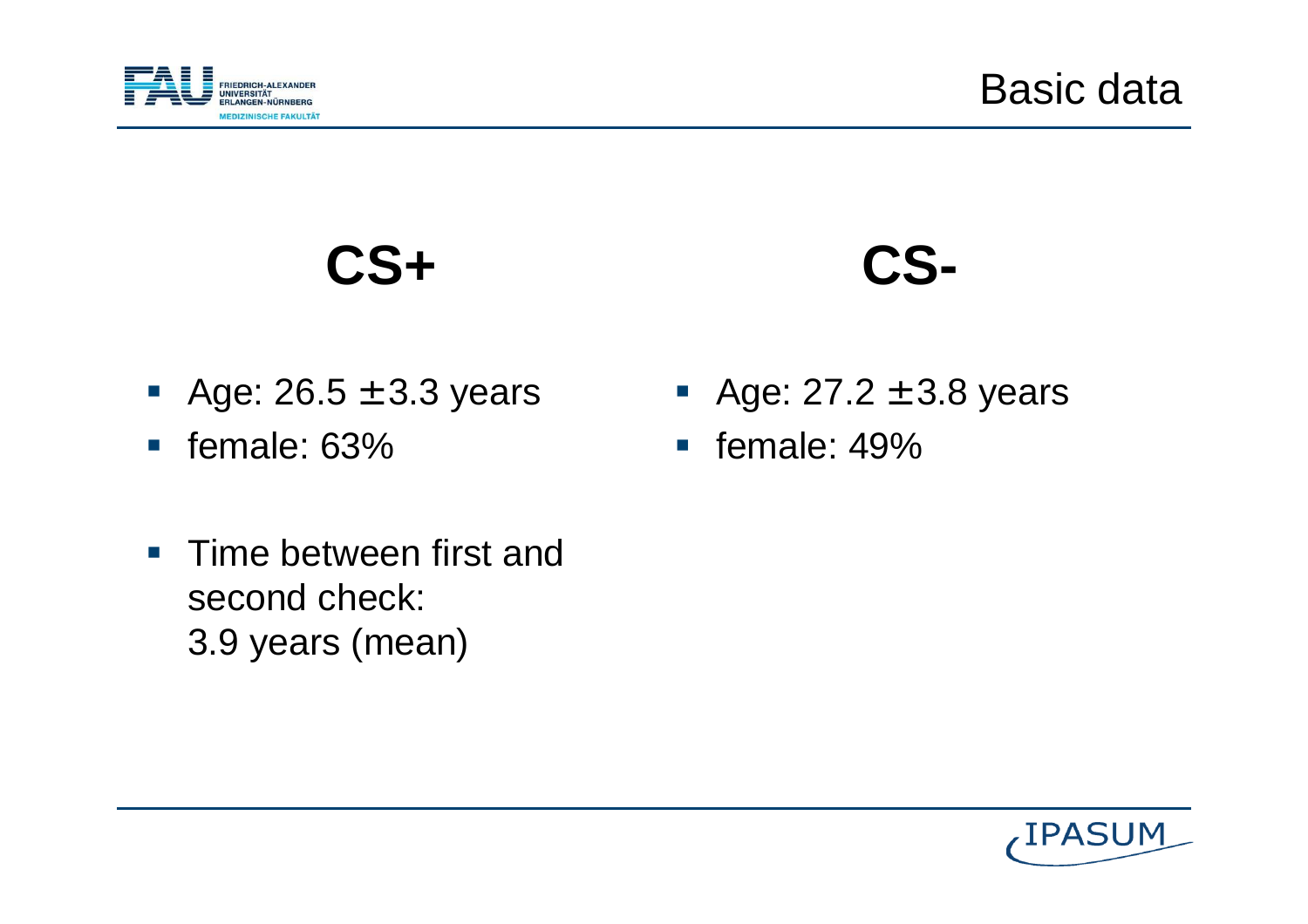

**CS+**

# **CS-**

- Age:  $26.5 \pm 3.3$  years
- female: 63%
- Time between first and second check: 3.9 years (mean)
- Age:  $27.2 \pm 3.8$  years
- **female: 49%**

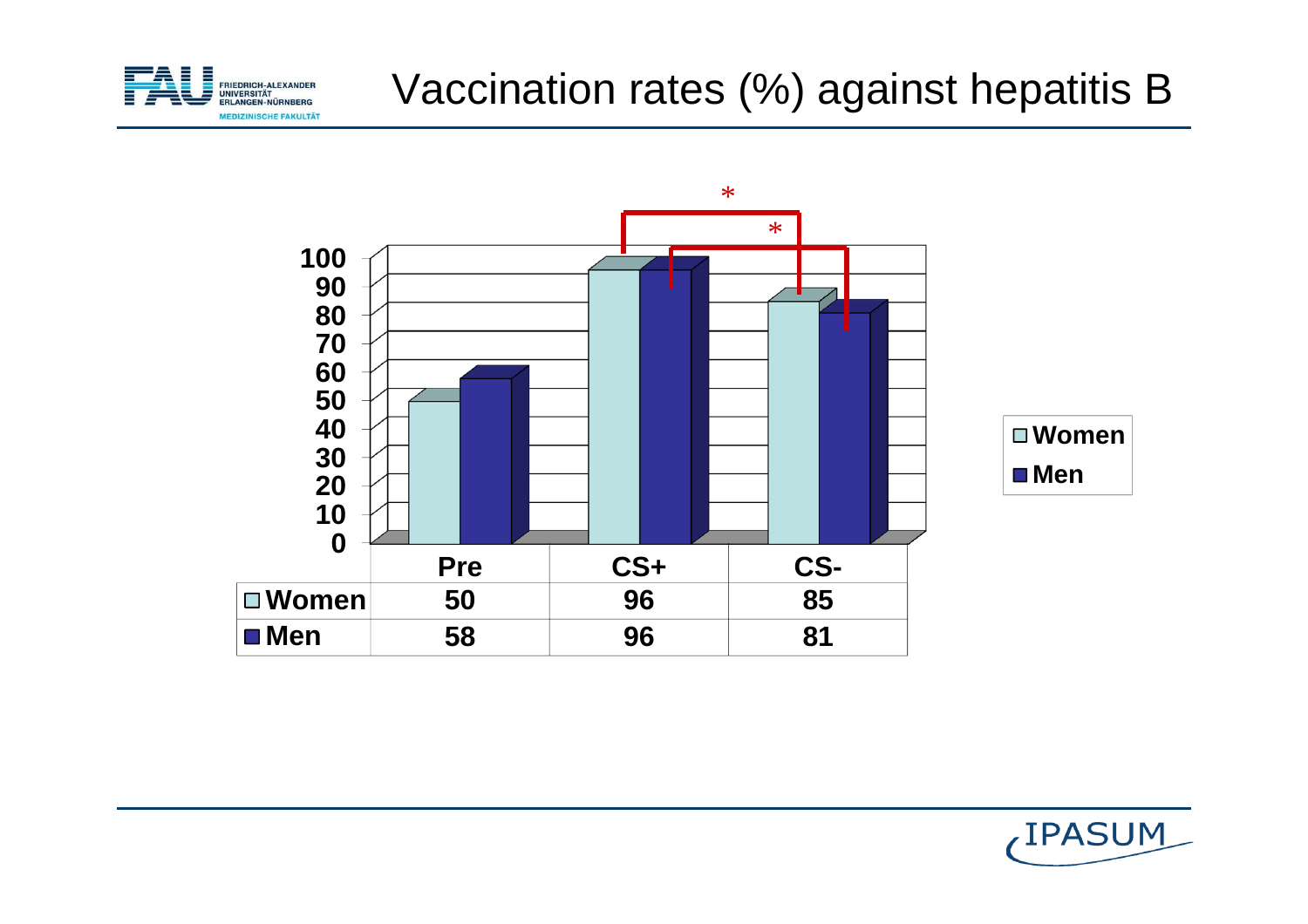

#### Vaccination rates (%) against hepatitis B



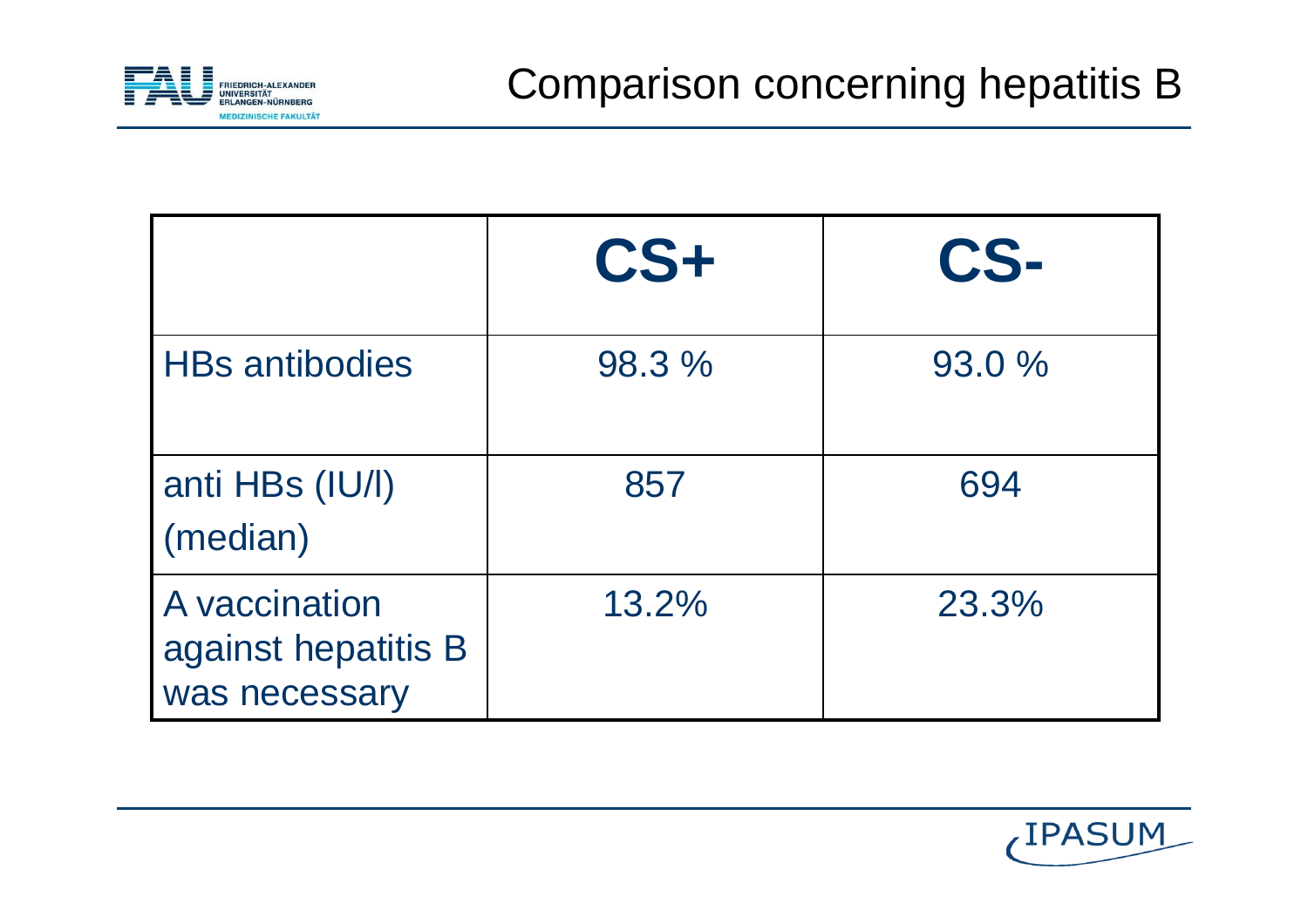

|                                                       | $CS+$  | CS-    |
|-------------------------------------------------------|--------|--------|
| <b>HBs antibodies</b>                                 | 98.3 % | 93.0 % |
| anti HBs (IU/I)<br>(median)                           | 857    | 694    |
| A vaccination<br>against hepatitis B<br>was necessary | 13.2%  | 23.3%  |

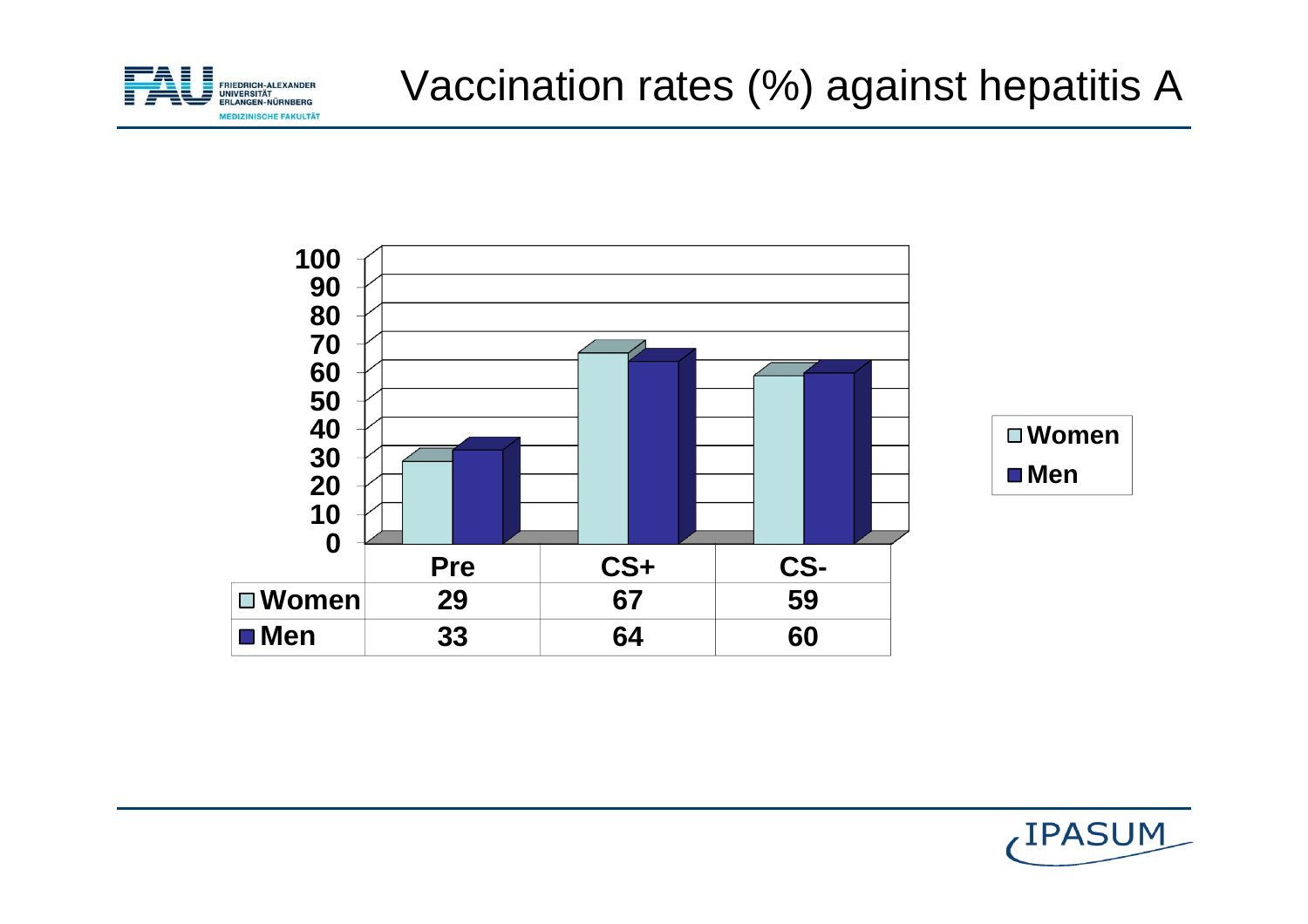



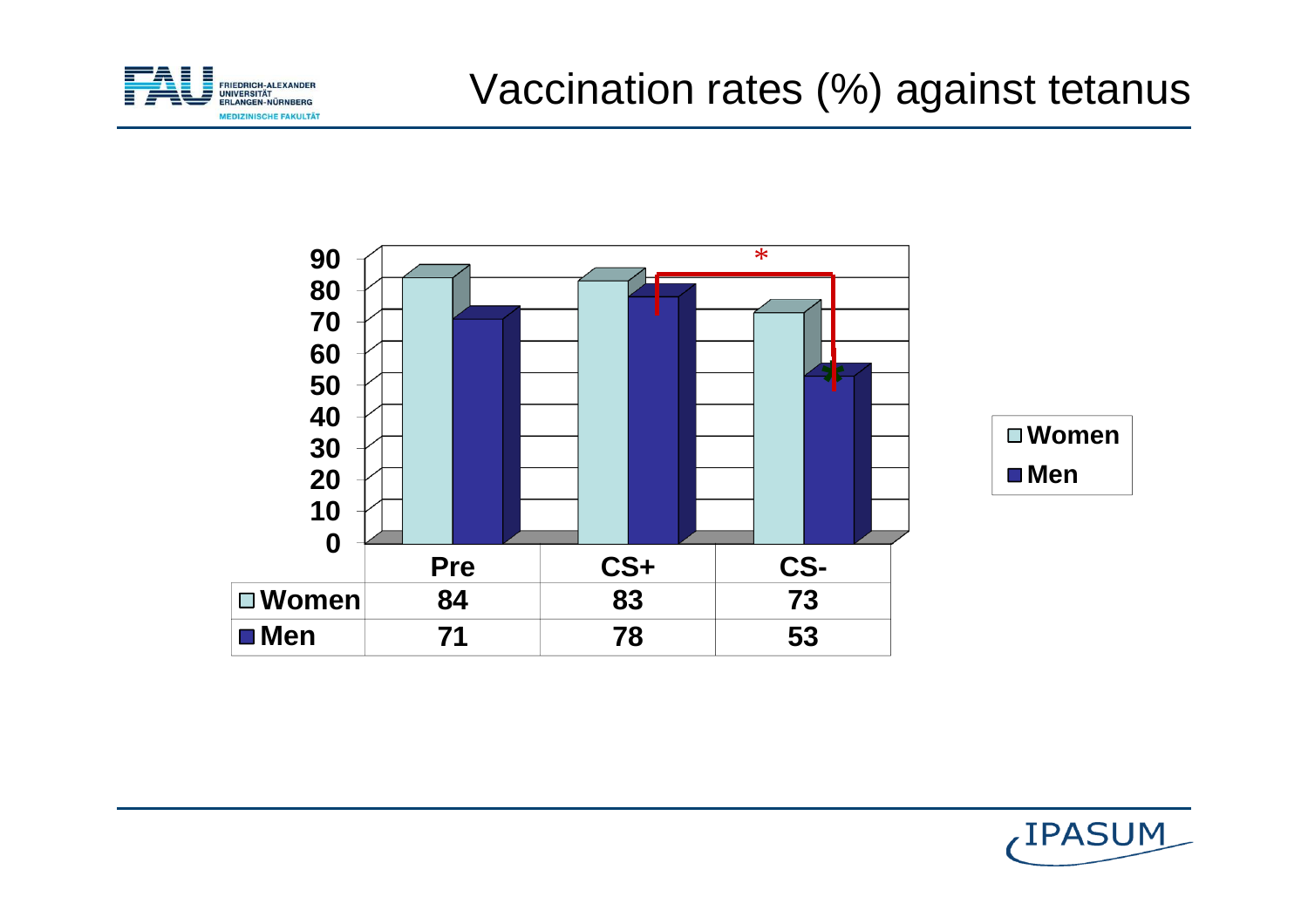





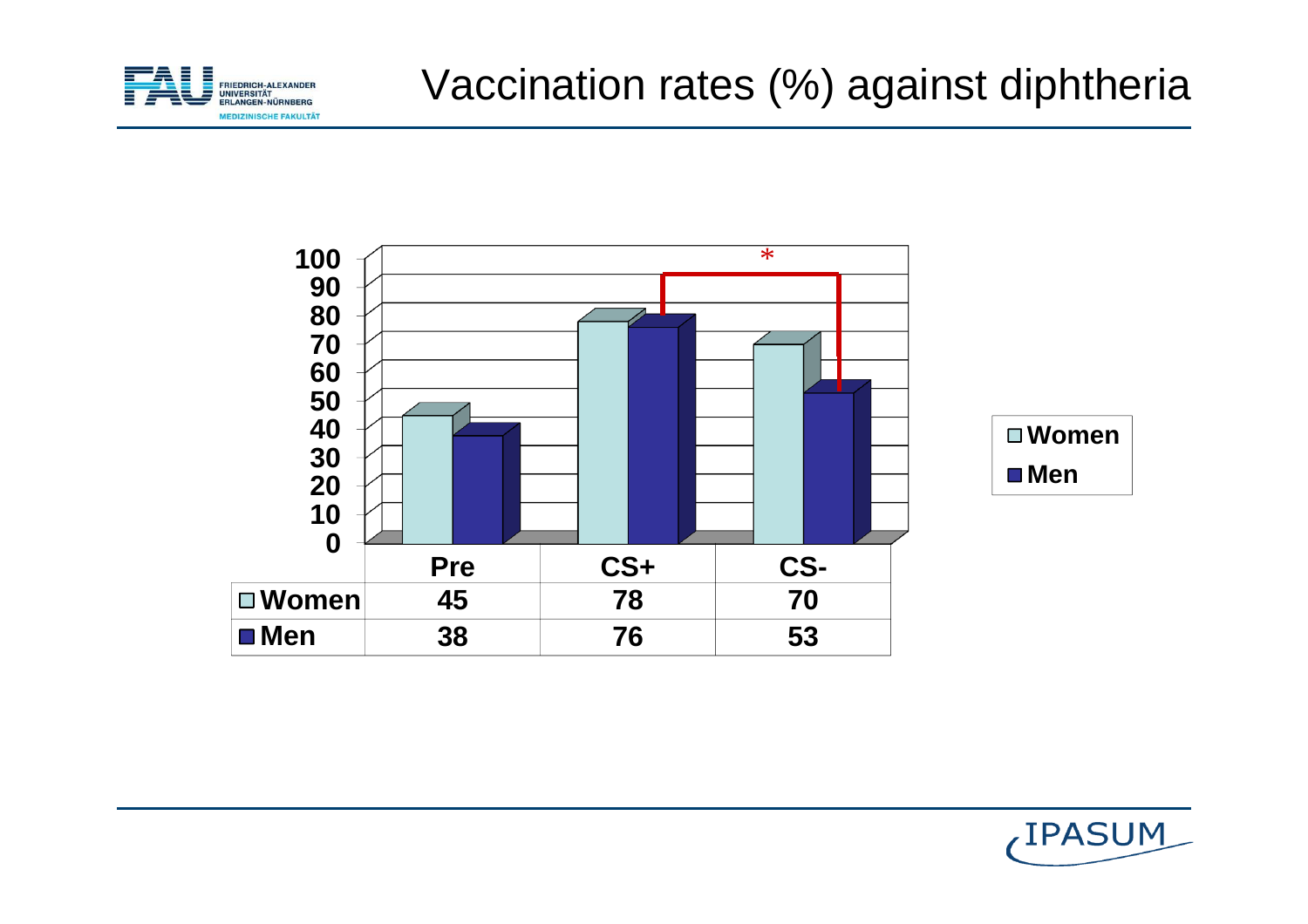



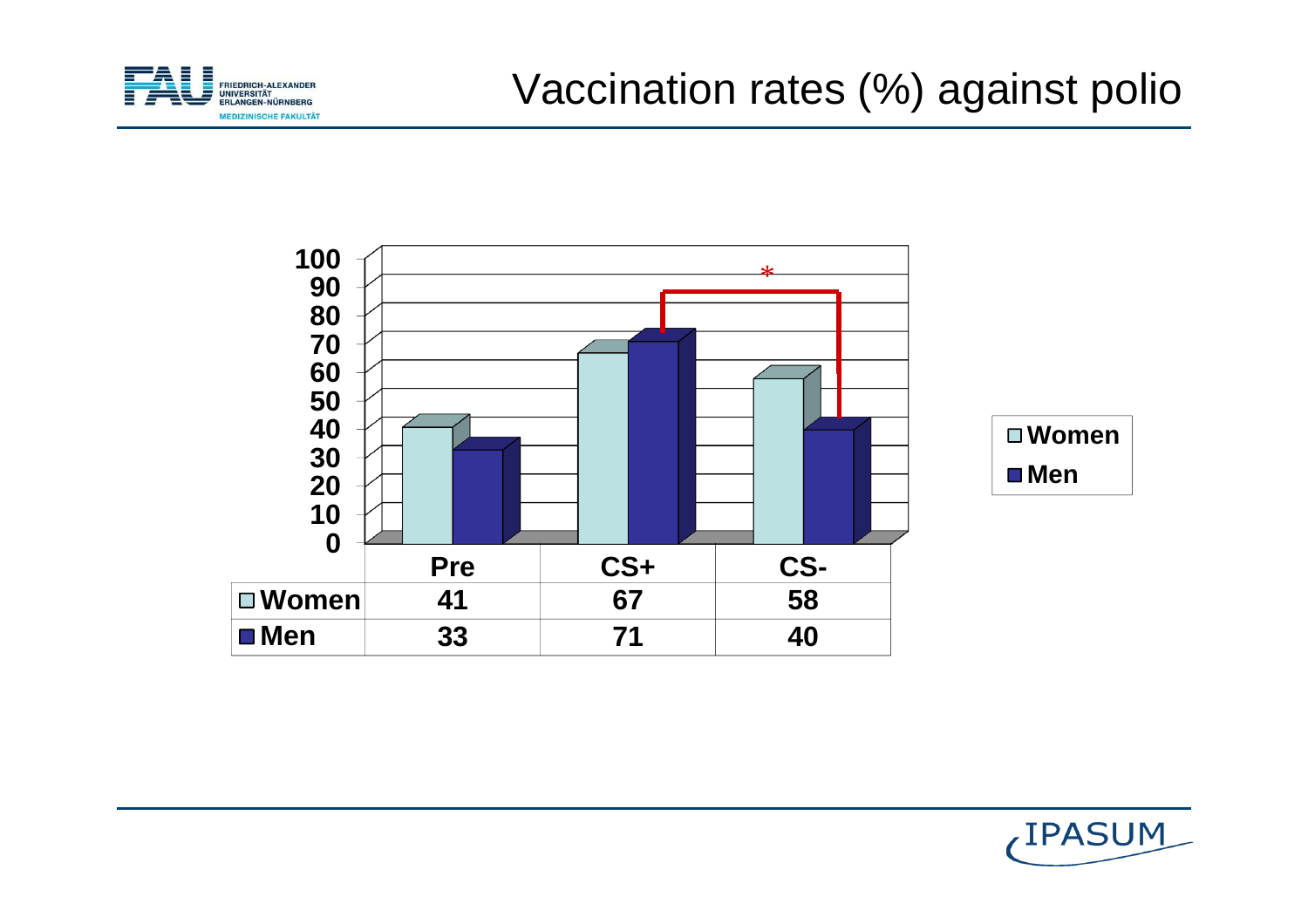



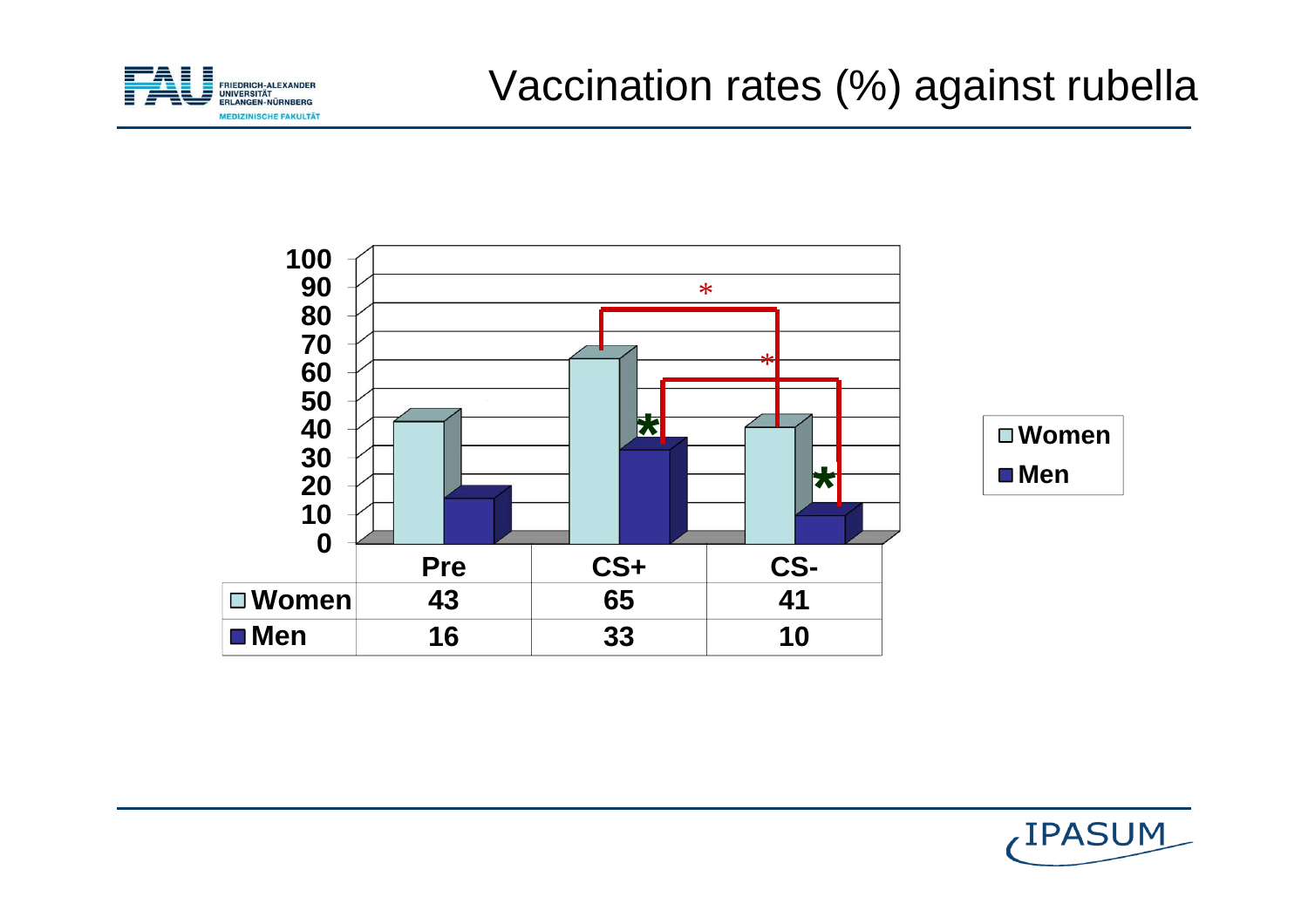



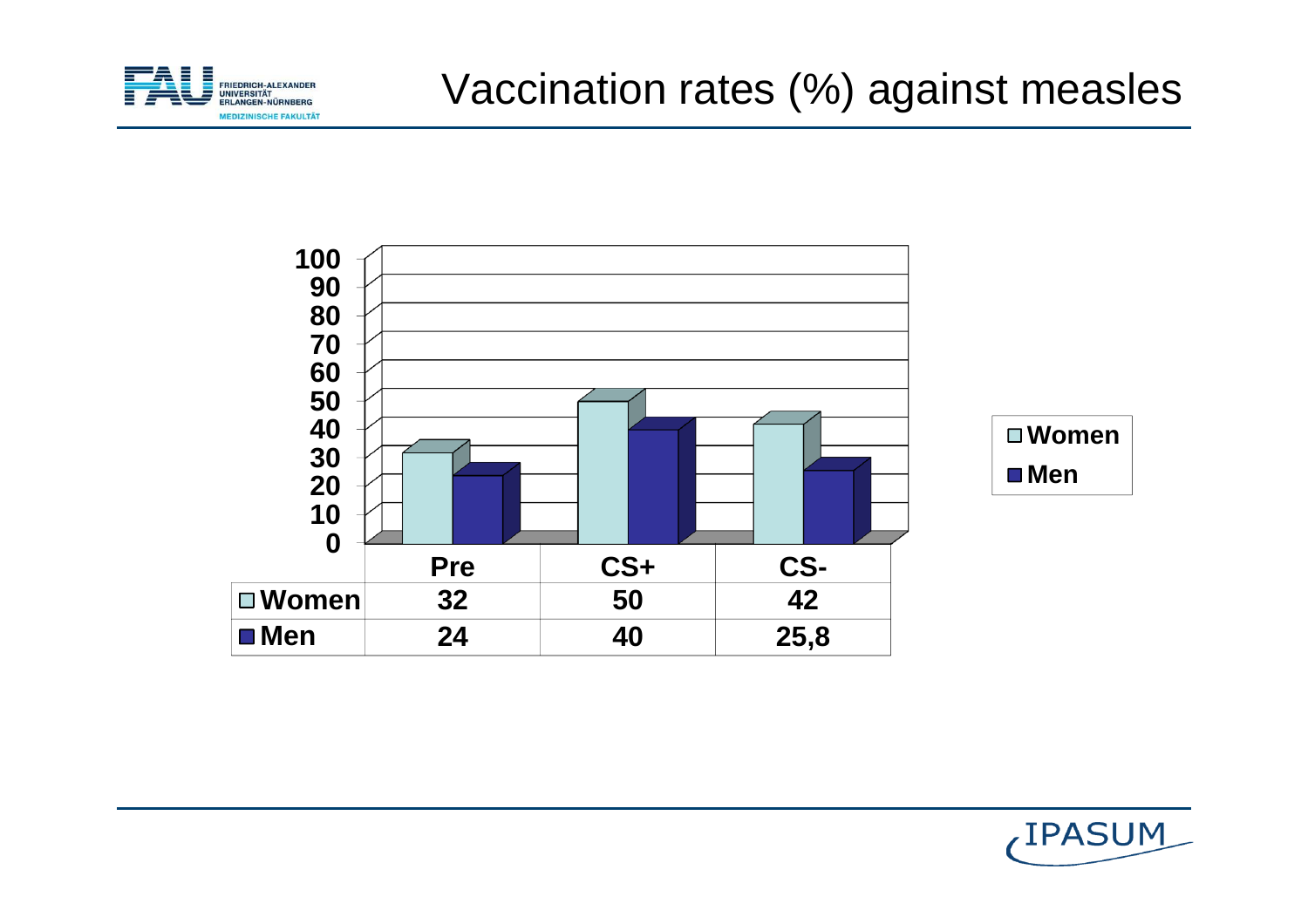



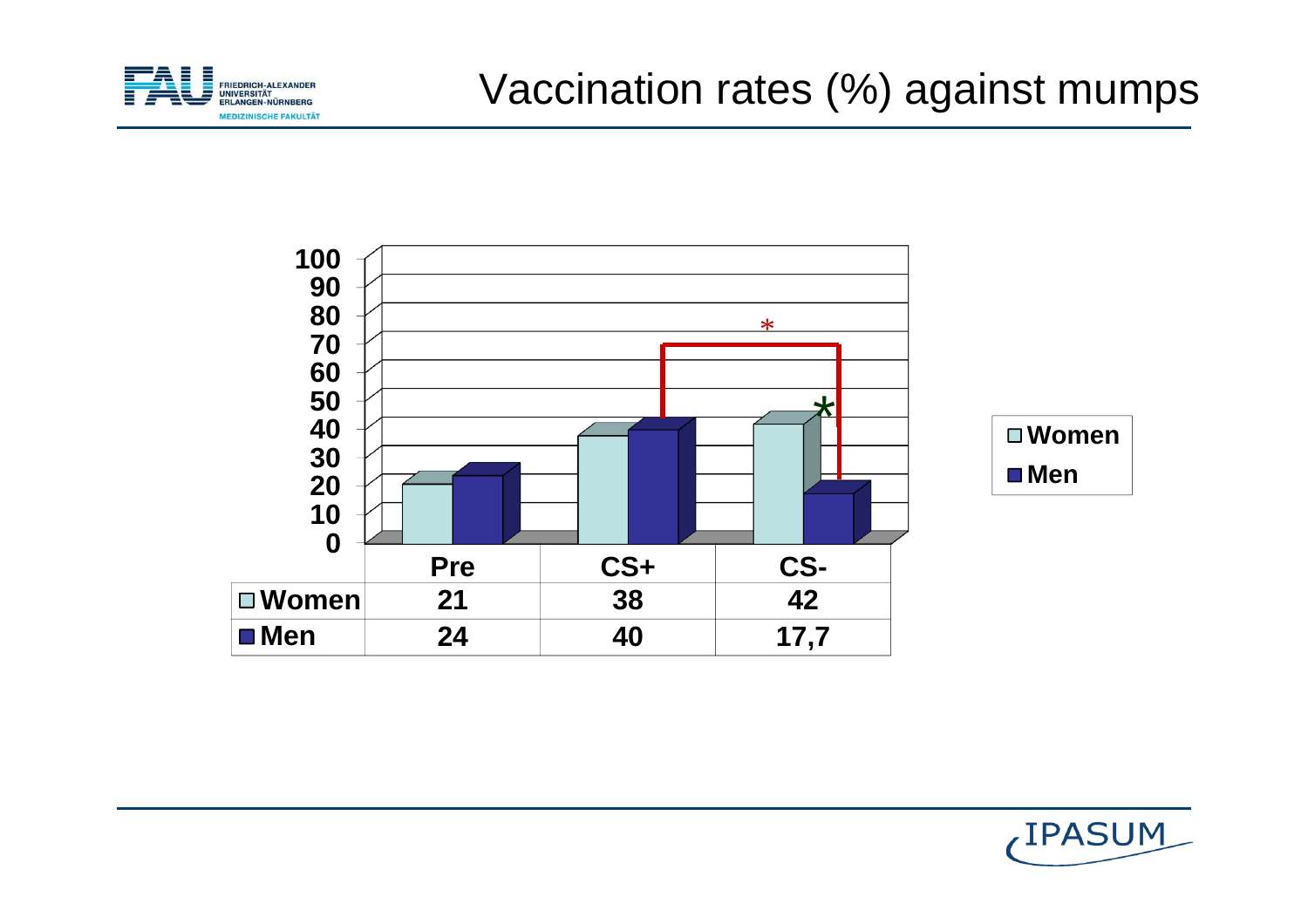



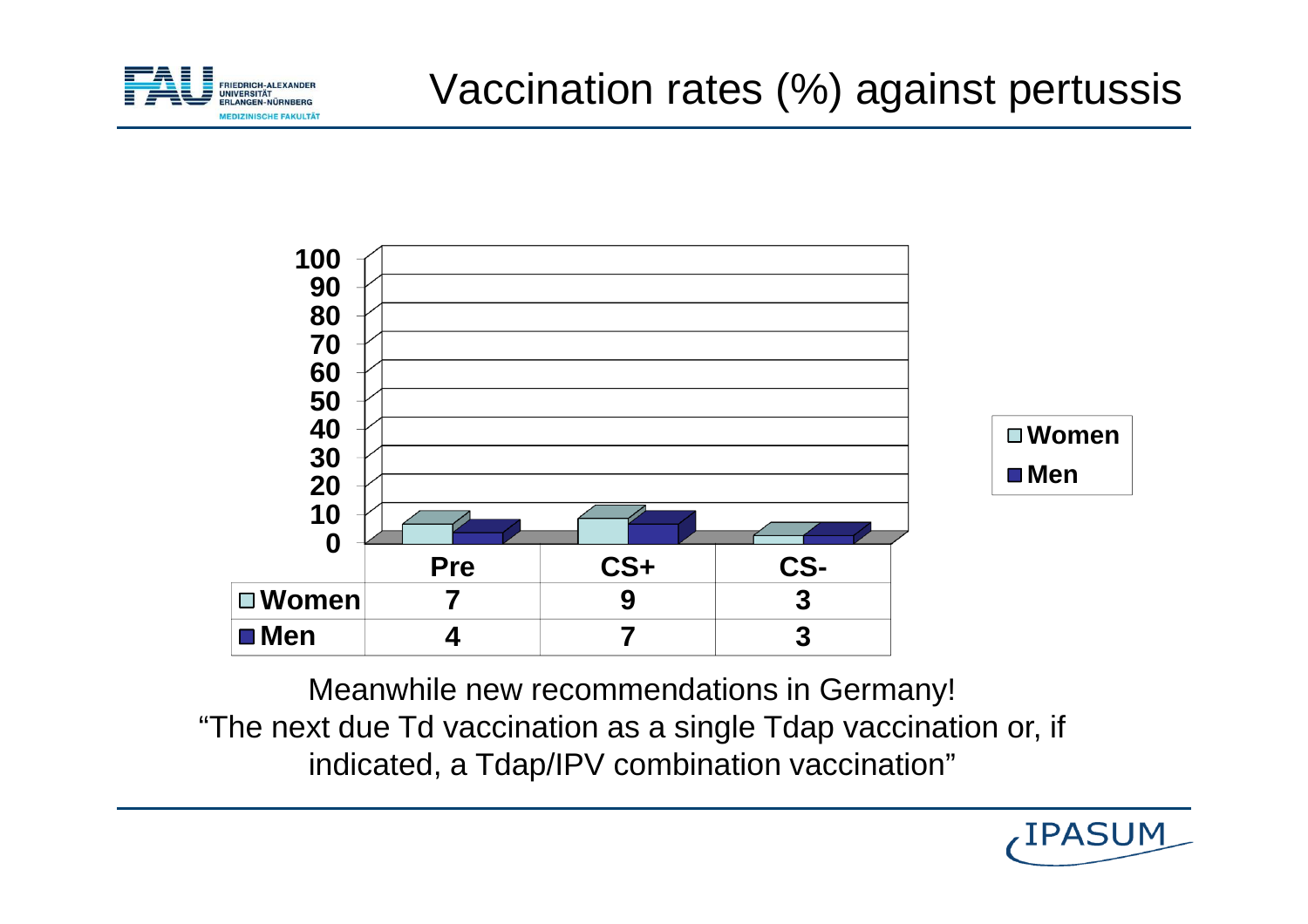



Meanwhile new recommendations in Germany! "The next due Td vaccination as a single Tdap vaccination or, if indicated, a Tdap/IPV combination vaccination"

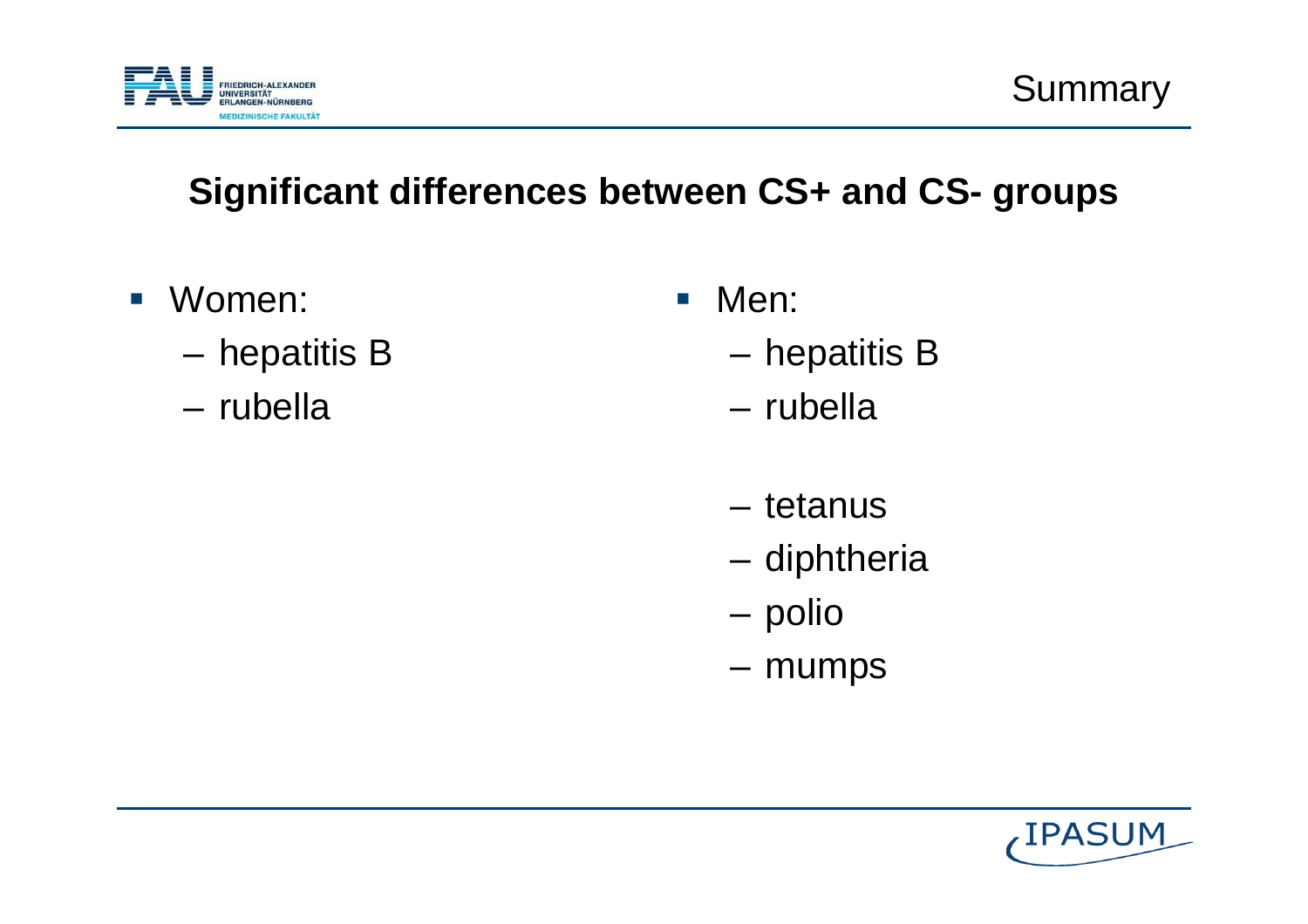

#### **Significant differences between CS+ and CS- groups**

- $\mathcal{L}_{\mathcal{A}}$  Women:
	- **Links of the Company** hepatitis B
	- and the state of the rubella
- $\mathcal{L}_{\mathcal{A}}$  Men:
	- –hepatitis B
	- –rubella
	- tetanus
	- diphtheria
	- –polio
	- mumps

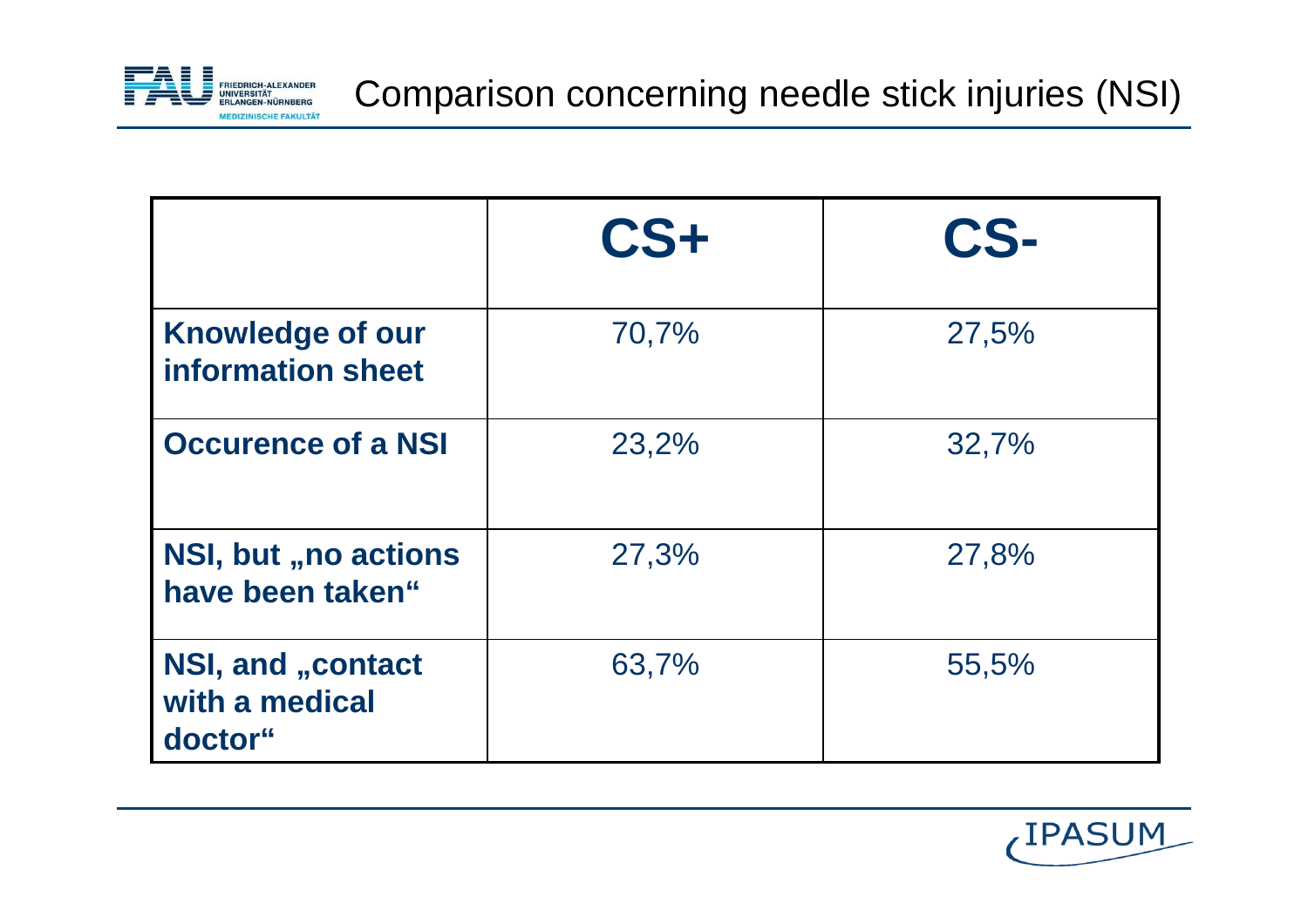

|                                                 | $CS+$ | CS-   |
|-------------------------------------------------|-------|-------|
| <b>Knowledge of our</b><br>information sheet    | 70,7% | 27,5% |
| <b>Occurence of a NSI</b>                       | 23,2% | 32,7% |
| <b>NSI, but "no actions</b><br>have been taken" | 27,3% | 27,8% |
| NSI, and "contact<br>with a medical<br>doctor"  | 63,7% | 55,5% |

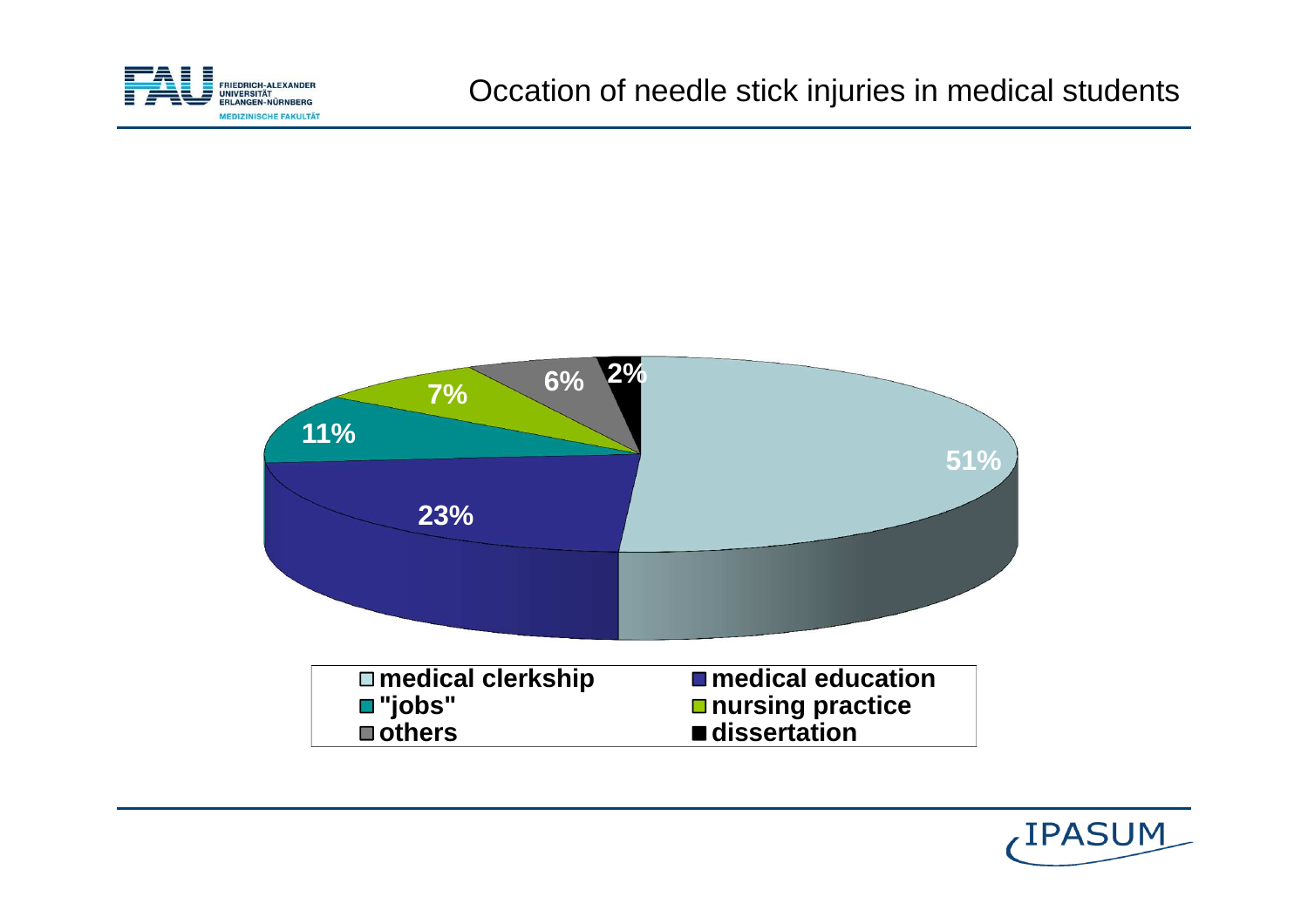



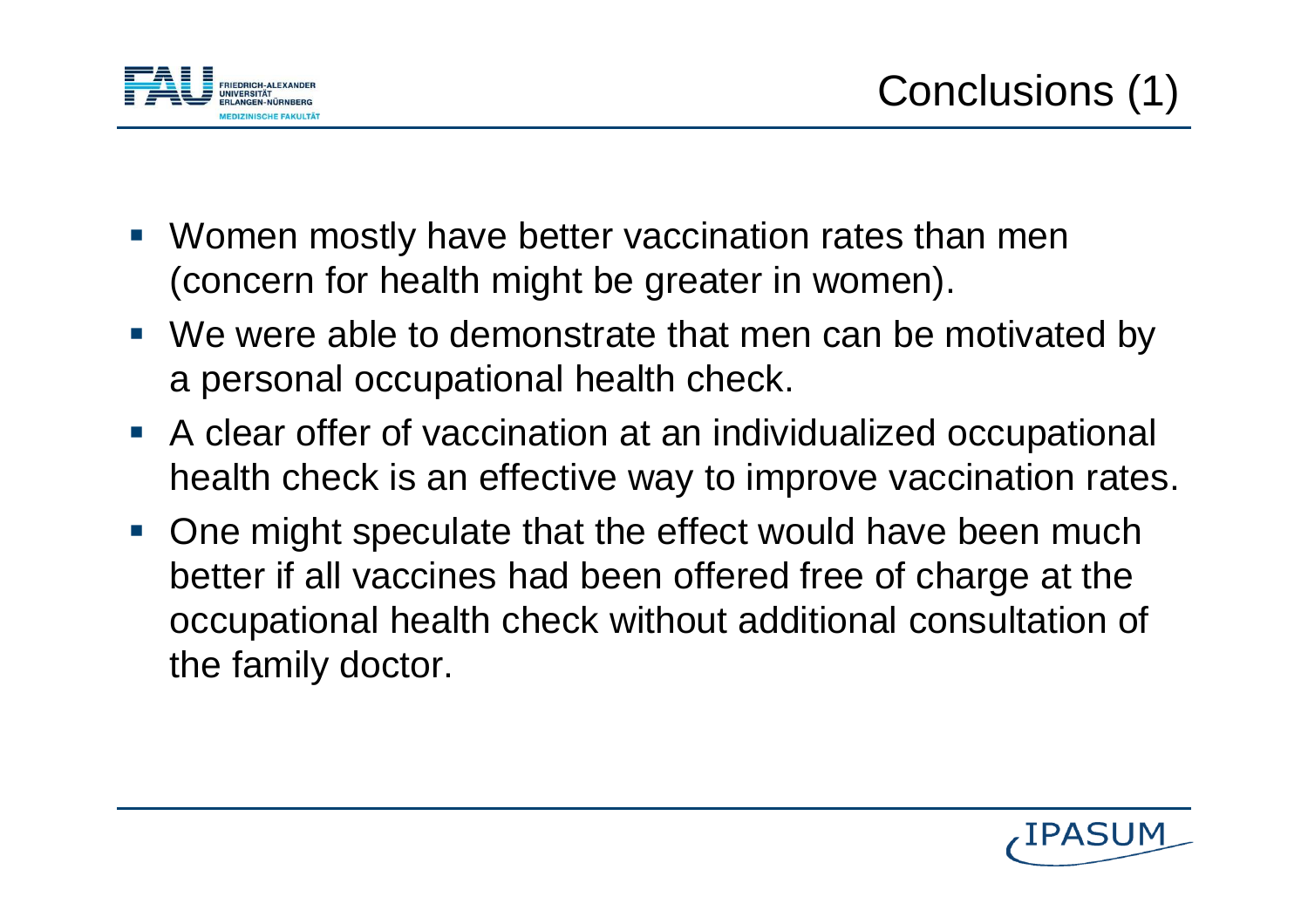

- Women mostly have better vaccination rates than men (concern for health might be greater in women).
- We were able to demonstrate that men can be motivated by a personal occupational health check.
- A clear offer of vaccination at an individualized occupational health check is an effective way to improve vaccination rates.
- **One might speculate that the effect would have been much**  better if all vaccines had been offered free of charge at the occupational health check without additional consultation of the family doctor.